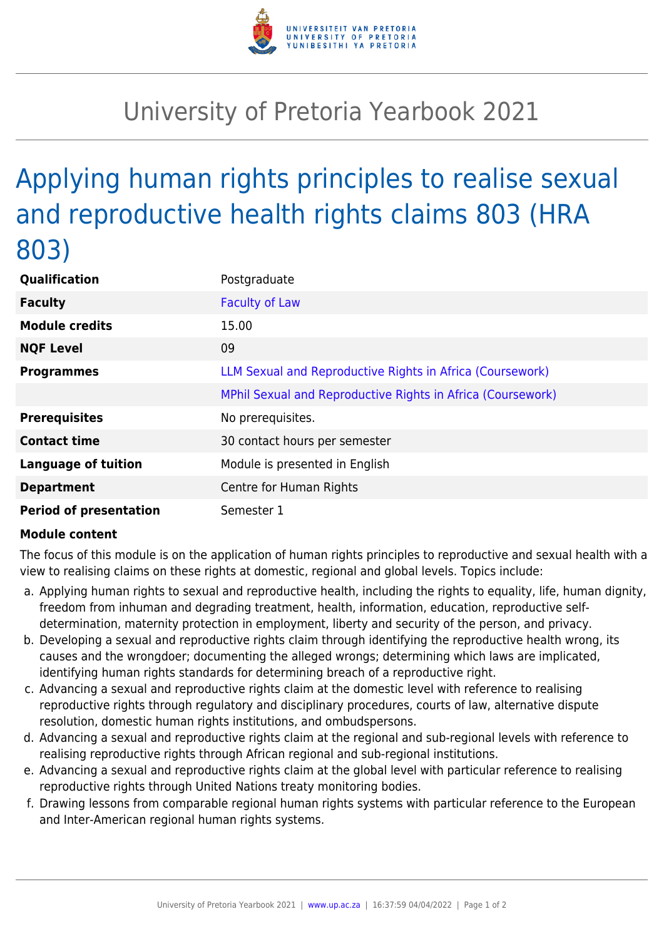

## University of Pretoria Yearbook 2021

## Applying human rights principles to realise sexual and reproductive health rights claims 803 (HRA 803)

| Qualification                 | Postgraduate                                                |
|-------------------------------|-------------------------------------------------------------|
| <b>Faculty</b>                | <b>Faculty of Law</b>                                       |
| <b>Module credits</b>         | 15.00                                                       |
| <b>NQF Level</b>              | 09                                                          |
| <b>Programmes</b>             | LLM Sexual and Reproductive Rights in Africa (Coursework)   |
|                               | MPhil Sexual and Reproductive Rights in Africa (Coursework) |
| <b>Prerequisites</b>          | No prerequisites.                                           |
| <b>Contact time</b>           | 30 contact hours per semester                               |
| <b>Language of tuition</b>    | Module is presented in English                              |
| <b>Department</b>             | Centre for Human Rights                                     |
| <b>Period of presentation</b> | Semester 1                                                  |

## **Module content**

The focus of this module is on the application of human rights principles to reproductive and sexual health with a view to realising claims on these rights at domestic, regional and global levels. Topics include:

- a. Applying human rights to sexual and reproductive health, including the rights to equality, life, human dignity, freedom from inhuman and degrading treatment, health, information, education, reproductive selfdetermination, maternity protection in employment, liberty and security of the person, and privacy.
- b. Developing a sexual and reproductive rights claim through identifying the reproductive health wrong, its causes and the wrongdoer; documenting the alleged wrongs; determining which laws are implicated, identifying human rights standards for determining breach of a reproductive right.
- c. Advancing a sexual and reproductive rights claim at the domestic level with reference to realising reproductive rights through regulatory and disciplinary procedures, courts of law, alternative dispute resolution, domestic human rights institutions, and ombudspersons.
- d. Advancing a sexual and reproductive rights claim at the regional and sub-regional levels with reference to realising reproductive rights through African regional and sub-regional institutions.
- e. Advancing a sexual and reproductive rights claim at the global level with particular reference to realising reproductive rights through United Nations treaty monitoring bodies.
- f. Drawing lessons from comparable regional human rights systems with particular reference to the European and Inter-American regional human rights systems.